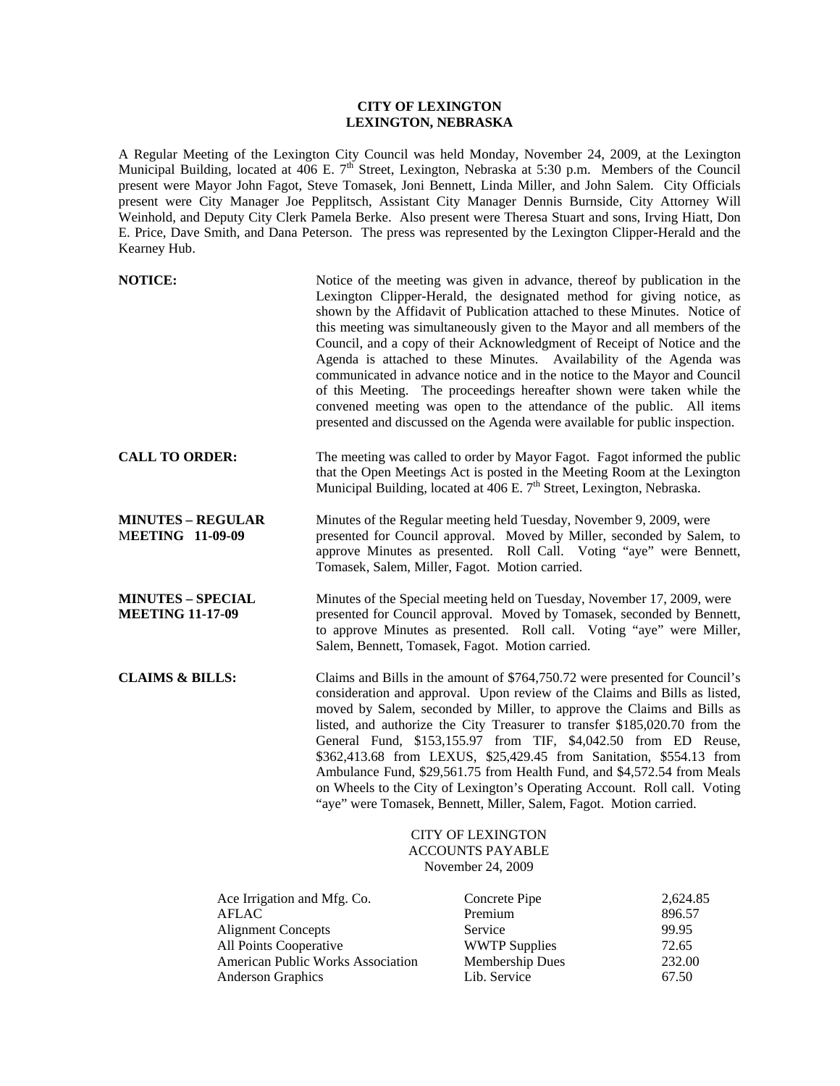## **CITY OF LEXINGTON LEXINGTON, NEBRASKA**

A Regular Meeting of the Lexington City Council was held Monday, November 24, 2009, at the Lexington Municipal Building, located at 406 E. 7<sup>th</sup> Street, Lexington, Nebraska at 5:30 p.m. Members of the Council present were Mayor John Fagot, Steve Tomasek, Joni Bennett, Linda Miller, and John Salem. City Officials present were City Manager Joe Pepplitsch, Assistant City Manager Dennis Burnside, City Attorney Will Weinhold, and Deputy City Clerk Pamela Berke. Also present were Theresa Stuart and sons, Irving Hiatt, Don E. Price, Dave Smith, and Dana Peterson. The press was represented by the Lexington Clipper-Herald and the Kearney Hub.

| <b>NOTICE:</b>                                                                                                                                 |                                                                          | Notice of the meeting was given in advance, thereof by publication in the<br>Lexington Clipper-Herald, the designated method for giving notice, as<br>shown by the Affidavit of Publication attached to these Minutes. Notice of<br>this meeting was simultaneously given to the Mayor and all members of the<br>Council, and a copy of their Acknowledgment of Receipt of Notice and the<br>Agenda is attached to these Minutes. Availability of the Agenda was<br>communicated in advance notice and in the notice to the Mayor and Council<br>of this Meeting. The proceedings hereafter shown were taken while the<br>convened meeting was open to the attendance of the public. All items<br>presented and discussed on the Agenda were available for public inspection. |         |  |
|------------------------------------------------------------------------------------------------------------------------------------------------|--------------------------------------------------------------------------|-------------------------------------------------------------------------------------------------------------------------------------------------------------------------------------------------------------------------------------------------------------------------------------------------------------------------------------------------------------------------------------------------------------------------------------------------------------------------------------------------------------------------------------------------------------------------------------------------------------------------------------------------------------------------------------------------------------------------------------------------------------------------------|---------|--|
| <b>CALL TO ORDER:</b>                                                                                                                          |                                                                          | The meeting was called to order by Mayor Fagot. Fagot informed the public<br>that the Open Meetings Act is posted in the Meeting Room at the Lexington<br>Municipal Building, located at 406 E. 7 <sup>th</sup> Street, Lexington, Nebraska.                                                                                                                                                                                                                                                                                                                                                                                                                                                                                                                                  |         |  |
| <b>MINUTES - REGULAR</b><br><b>MEETING 11-09-09</b>                                                                                            | Tomasek, Salem, Miller, Fagot. Motion carried.                           | Minutes of the Regular meeting held Tuesday, November 9, 2009, were<br>presented for Council approval. Moved by Miller, seconded by Salem, to<br>approve Minutes as presented. Roll Call. Voting "aye" were Bennett,                                                                                                                                                                                                                                                                                                                                                                                                                                                                                                                                                          |         |  |
| <b>MINUTES - SPECIAL</b><br><b>MEETING 11-17-09</b>                                                                                            | Salem, Bennett, Tomasek, Fagot. Motion carried.                          | Minutes of the Special meeting held on Tuesday, November 17, 2009, were<br>presented for Council approval. Moved by Tomasek, seconded by Bennett,<br>to approve Minutes as presented. Roll call. Voting "aye" were Miller,                                                                                                                                                                                                                                                                                                                                                                                                                                                                                                                                                    |         |  |
| <b>CLAIMS &amp; BILLS:</b>                                                                                                                     |                                                                          | Claims and Bills in the amount of \$764,750.72 were presented for Council's<br>consideration and approval. Upon review of the Claims and Bills as listed,<br>moved by Salem, seconded by Miller, to approve the Claims and Bills as<br>listed, and authorize the City Treasurer to transfer \$185,020.70 from the<br>General Fund, \$153,155.97 from TIF, \$4,042.50 from ED Reuse,<br>\$362,413.68 from LEXUS, \$25,429.45 from Sanitation, \$554.13 from<br>Ambulance Fund, \$29,561.75 from Health Fund, and \$4,572.54 from Meals<br>on Wheels to the City of Lexington's Operating Account. Roll call. Voting<br>"aye" were Tomasek, Bennett, Miller, Salem, Fagot. Motion carried.                                                                                      |         |  |
|                                                                                                                                                | <b>CITY OF LEXINGTON</b><br><b>ACCOUNTS PAYABLE</b><br>November 24, 2009 |                                                                                                                                                                                                                                                                                                                                                                                                                                                                                                                                                                                                                                                                                                                                                                               |         |  |
| $\mathbf{r}$ $\mathbf{r}$ $\mathbf{r}$ $\mathbf{r}$ $\mathbf{r}$ $\mathbf{r}$ $\mathbf{r}$ $\mathbf{r}$ $\mathbf{r}$ $\mathbf{r}$ $\mathbf{r}$ |                                                                          | $\alpha$ $\alpha$                                                                                                                                                                                                                                                                                                                                                                                                                                                                                                                                                                                                                                                                                                                                                             | 0.62105 |  |

| Ace Irrigation and Mfg. Co.              | Concrete Pipe          | 2,624.85 |
|------------------------------------------|------------------------|----------|
| <b>AFLAC</b>                             | Premium                | 896.57   |
| <b>Alignment Concepts</b>                | Service                | 99.95    |
| <b>All Points Cooperative</b>            | <b>WWTP Supplies</b>   | 72.65    |
| <b>American Public Works Association</b> | <b>Membership Dues</b> | 232.00   |
| <b>Anderson Graphics</b>                 | Lib. Service           | 67.50    |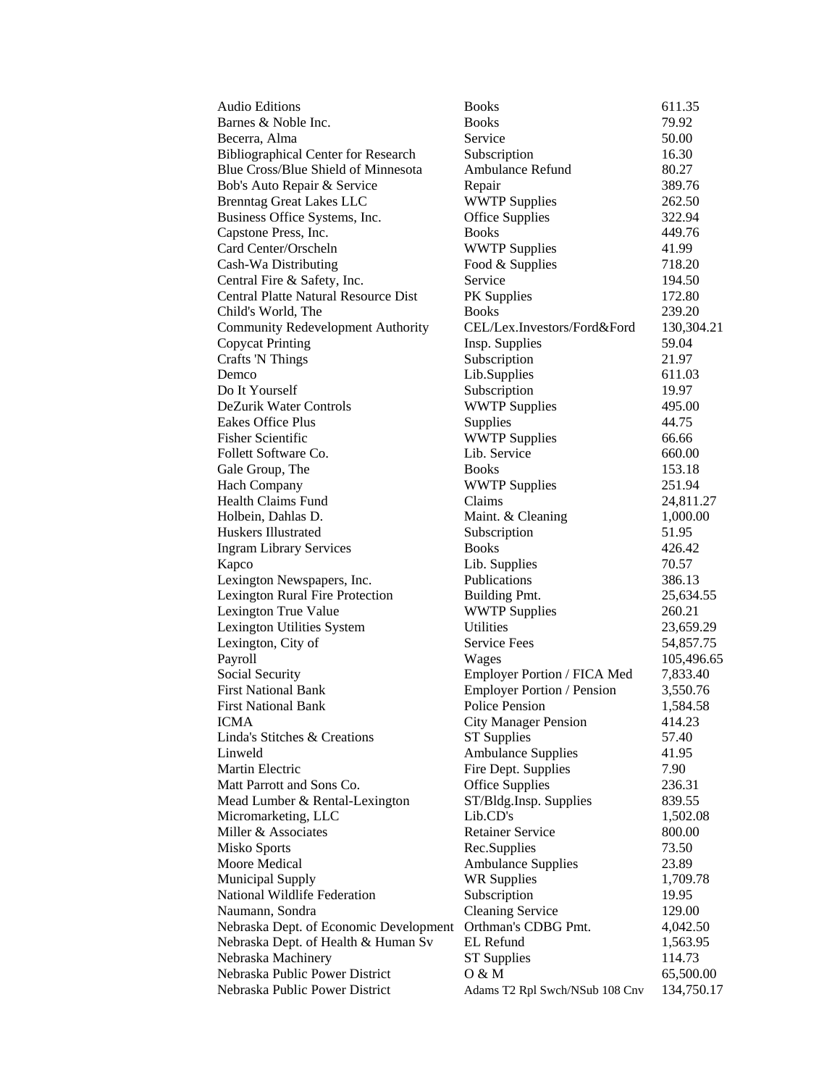| <b>Audio Editions</b>                       | <b>Books</b>                      | 611.35     |
|---------------------------------------------|-----------------------------------|------------|
| Barnes & Noble Inc.                         | <b>Books</b>                      | 79.92      |
| Becerra, Alma                               | Service                           | 50.00      |
| <b>Bibliographical Center for Research</b>  | Subscription                      | 16.30      |
| Blue Cross/Blue Shield of Minnesota         | Ambulance Refund                  | 80.27      |
| Bob's Auto Repair & Service                 | Repair                            | 389.76     |
| <b>Brenntag Great Lakes LLC</b>             | <b>WWTP Supplies</b>              | 262.50     |
| Business Office Systems, Inc.               | <b>Office Supplies</b>            | 322.94     |
| Capstone Press, Inc.                        | <b>Books</b>                      | 449.76     |
| Card Center/Orscheln                        | <b>WWTP Supplies</b>              | 41.99      |
| Cash-Wa Distributing                        | Food & Supplies                   | 718.20     |
| Central Fire & Safety, Inc.                 | Service                           | 194.50     |
| <b>Central Platte Natural Resource Dist</b> | PK Supplies                       | 172.80     |
| Child's World, The                          | <b>Books</b>                      | 239.20     |
| Community Redevelopment Authority           | CEL/Lex.Investors/Ford&Ford       | 130,304.21 |
| <b>Copycat Printing</b>                     | Insp. Supplies                    | 59.04      |
| <b>Crafts 'N Things</b>                     | Subscription                      | 21.97      |
| Demco                                       | Lib.Supplies                      | 611.03     |
| Do It Yourself                              | Subscription                      | 19.97      |
| DeZurik Water Controls                      | <b>WWTP Supplies</b>              | 495.00     |
| Eakes Office Plus                           | Supplies                          | 44.75      |
| <b>Fisher Scientific</b>                    | <b>WWTP Supplies</b>              | 66.66      |
| Follett Software Co.                        | Lib. Service                      | 660.00     |
| Gale Group, The                             | <b>Books</b>                      | 153.18     |
| Hach Company                                | <b>WWTP Supplies</b>              | 251.94     |
| <b>Health Claims Fund</b>                   | Claims                            | 24,811.27  |
| Holbein, Dahlas D.                          | Maint. & Cleaning                 | 1,000.00   |
| Huskers Illustrated                         | Subscription                      | 51.95      |
| <b>Ingram Library Services</b>              | <b>Books</b>                      | 426.42     |
| Kapco                                       | Lib. Supplies                     | 70.57      |
| Lexington Newspapers, Inc.                  | Publications                      | 386.13     |
| <b>Lexington Rural Fire Protection</b>      | Building Pmt.                     | 25,634.55  |
| Lexington True Value                        | <b>WWTP Supplies</b>              | 260.21     |
| Lexington Utilities System                  | <b>Utilities</b>                  | 23,659.29  |
| Lexington, City of                          | <b>Service Fees</b>               | 54,857.75  |
| Payroll                                     | Wages                             | 105,496.65 |
| <b>Social Security</b>                      | Employer Portion / FICA Med       | 7,833.40   |
| <b>First National Bank</b>                  | <b>Employer Portion / Pension</b> | 3,550.76   |
| <b>First National Bank</b>                  | <b>Police Pension</b>             | 1,584.58   |
| ICMA                                        | <b>City Manager Pension</b>       | 414.23     |
| Linda's Stitches & Creations                | <b>ST Supplies</b>                | 57.40      |
| Linweld                                     | <b>Ambulance Supplies</b>         | 41.95      |
| Martin Electric                             | Fire Dept. Supplies               | 7.90       |
| Matt Parrott and Sons Co.                   | <b>Office Supplies</b>            | 236.31     |
| Mead Lumber & Rental-Lexington              | ST/Bldg.Insp. Supplies            | 839.55     |
| Micromarketing, LLC                         | Lib.CD's                          | 1,502.08   |
| Miller & Associates                         | <b>Retainer Service</b>           | 800.00     |
| Misko Sports                                | Rec.Supplies                      | 73.50      |
| Moore Medical                               | <b>Ambulance Supplies</b>         | 23.89      |
| <b>Municipal Supply</b>                     | <b>WR Supplies</b>                | 1,709.78   |
| National Wildlife Federation                | Subscription                      | 19.95      |
| Naumann, Sondra                             | <b>Cleaning Service</b>           | 129.00     |
| Nebraska Dept. of Economic Development      | Orthman's CDBG Pmt.               | 4,042.50   |
| Nebraska Dept. of Health & Human Sv         | EL Refund                         | 1,563.95   |
| Nebraska Machinery                          | <b>ST</b> Supplies                | 114.73     |
| Nebraska Public Power District              | 0 & M                             | 65,500.00  |
| Nebraska Public Power District              | Adams T2 Rpl Swch/NSub 108 Cnv    | 134,750.17 |
|                                             |                                   |            |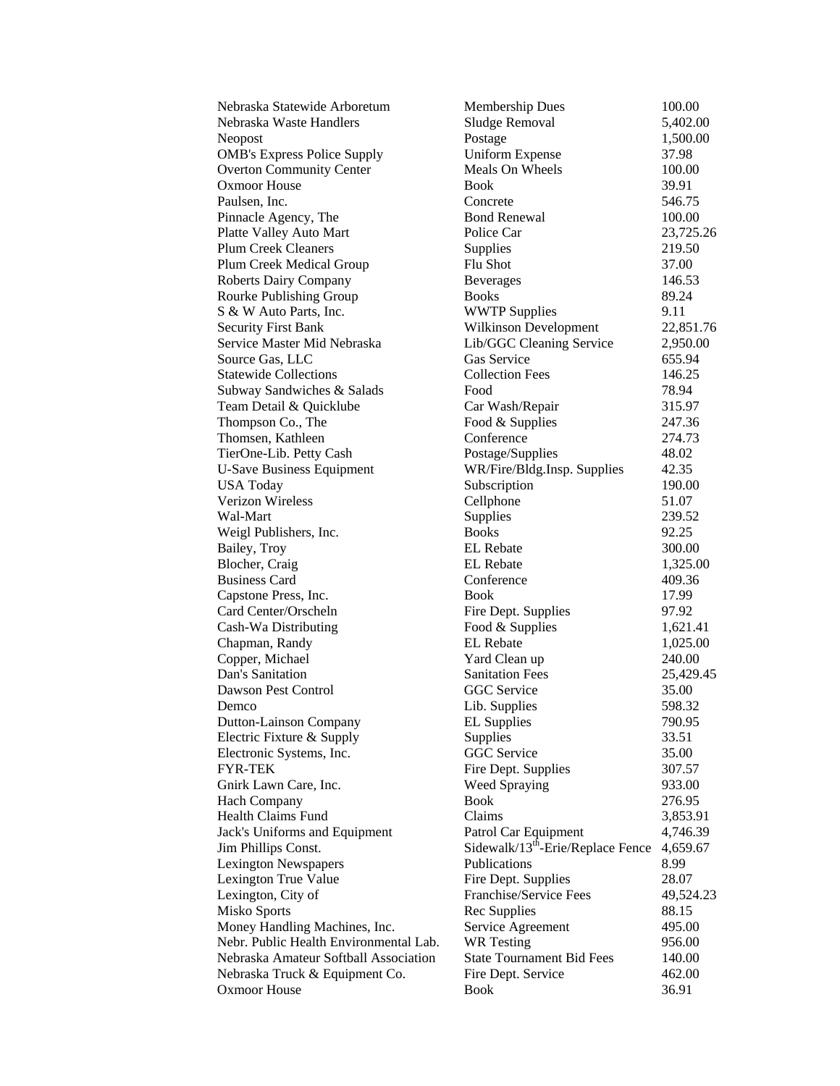| Nebraska Statewide Arboretum           | Membership Dues                               | 100.00    |
|----------------------------------------|-----------------------------------------------|-----------|
| Nebraska Waste Handlers                | Sludge Removal                                | 5,402.00  |
| Neopost                                | Postage                                       | 1,500.00  |
| <b>OMB's Express Police Supply</b>     | <b>Uniform Expense</b>                        | 37.98     |
| <b>Overton Community Center</b>        | Meals On Wheels                               | 100.00    |
| <b>Oxmoor House</b>                    | <b>Book</b>                                   | 39.91     |
| Paulsen, Inc.                          | Concrete                                      | 546.75    |
| Pinnacle Agency, The                   | <b>Bond Renewal</b>                           | 100.00    |
| Platte Valley Auto Mart                | Police Car                                    | 23,725.26 |
| <b>Plum Creek Cleaners</b>             | Supplies                                      | 219.50    |
| Plum Creek Medical Group               | Flu Shot                                      | 37.00     |
| <b>Roberts Dairy Company</b>           | <b>Beverages</b>                              | 146.53    |
| <b>Rourke Publishing Group</b>         | <b>Books</b>                                  | 89.24     |
| S & W Auto Parts, Inc.                 | <b>WWTP Supplies</b>                          | 9.11      |
| <b>Security First Bank</b>             | Wilkinson Development                         | 22,851.76 |
| Service Master Mid Nebraska            | Lib/GGC Cleaning Service                      | 2,950.00  |
| Source Gas, LLC                        | Gas Service                                   | 655.94    |
| <b>Statewide Collections</b>           | <b>Collection Fees</b>                        | 146.25    |
| Subway Sandwiches & Salads             | Food                                          | 78.94     |
| Team Detail & Quicklube                | Car Wash/Repair                               | 315.97    |
| Thompson Co., The                      | Food & Supplies                               | 247.36    |
| Thomsen, Kathleen                      | Conference                                    | 274.73    |
| TierOne-Lib. Petty Cash                | Postage/Supplies                              | 48.02     |
| <b>U-Save Business Equipment</b>       | WR/Fire/Bldg.Insp. Supplies                   | 42.35     |
| <b>USA Today</b>                       | Subscription                                  | 190.00    |
| <b>Verizon Wireless</b>                | Cellphone                                     | 51.07     |
| Wal-Mart                               | Supplies                                      | 239.52    |
| Weigl Publishers, Inc.                 | <b>Books</b>                                  | 92.25     |
| Bailey, Troy                           | <b>EL</b> Rebate                              | 300.00    |
| Blocher, Craig                         | <b>EL</b> Rebate                              | 1,325.00  |
| <b>Business Card</b>                   | Conference                                    | 409.36    |
| Capstone Press, Inc.                   | Book                                          | 17.99     |
| Card Center/Orscheln                   | Fire Dept. Supplies                           | 97.92     |
| Cash-Wa Distributing                   | Food & Supplies                               | 1,621.41  |
| Chapman, Randy                         | <b>EL</b> Rebate                              | 1,025.00  |
| Copper, Michael                        | Yard Clean up                                 | 240.00    |
| Dan's Sanitation                       | <b>Sanitation Fees</b>                        | 25,429.45 |
| Dawson Pest Control                    | <b>GGC</b> Service                            | 35.00     |
| Demco                                  | Lib. Supplies                                 | 598.32    |
| <b>Dutton-Lainson Company</b>          | <b>EL Supplies</b>                            | 790.95    |
| Electric Fixture & Supply              | Supplies                                      | 33.51     |
| Electronic Systems, Inc.               | <b>GGC</b> Service                            | 35.00     |
| FYR-TEK                                | Fire Dept. Supplies                           | 307.57    |
| Gnirk Lawn Care, Inc.                  | <b>Weed Spraying</b>                          | 933.00    |
| <b>Hach Company</b>                    | <b>Book</b>                                   | 276.95    |
| Health Claims Fund                     | Claims                                        | 3,853.91  |
| Jack's Uniforms and Equipment          | Patrol Car Equipment                          | 4,746.39  |
| Jim Phillips Const.                    | Sidewalk/13 <sup>th</sup> -Erie/Replace Fence | 4,659.67  |
| <b>Lexington Newspapers</b>            | Publications                                  | 8.99      |
| <b>Lexington True Value</b>            | Fire Dept. Supplies                           | 28.07     |
| Lexington, City of                     | Franchise/Service Fees                        | 49,524.23 |
| Misko Sports                           | Rec Supplies                                  | 88.15     |
| Money Handling Machines, Inc.          | Service Agreement                             | 495.00    |
| Nebr. Public Health Environmental Lab. | <b>WR</b> Testing                             | 956.00    |
| Nebraska Amateur Softball Association  | <b>State Tournament Bid Fees</b>              | 140.00    |
| Nebraska Truck & Equipment Co.         | Fire Dept. Service                            | 462.00    |
| Oxmoor House                           | Book                                          | 36.91     |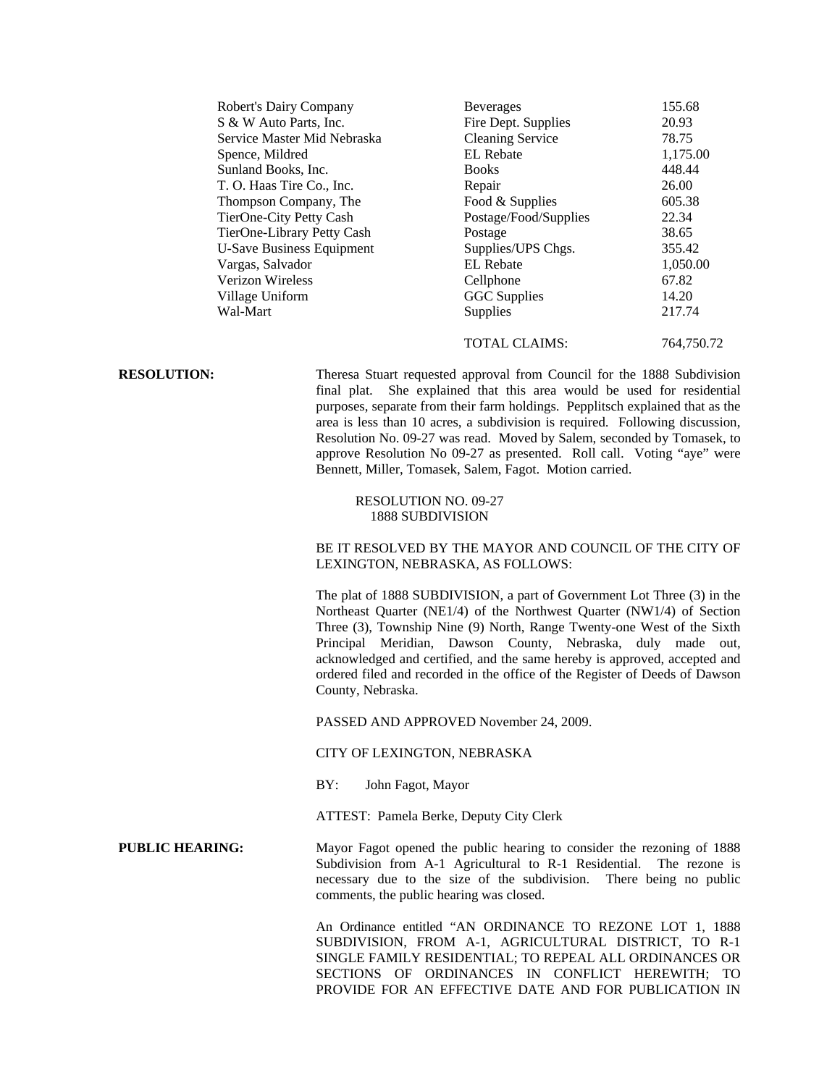| Robert's Dairy Company      | <b>Beverages</b>        | 155.68   |
|-----------------------------|-------------------------|----------|
| S & W Auto Parts, Inc.      | Fire Dept. Supplies     | 20.93    |
| Service Master Mid Nebraska | <b>Cleaning Service</b> | 78.75    |
| Spence, Mildred             | <b>EL</b> Rebate        | 1,175.00 |
| Sunland Books, Inc.         | <b>Books</b>            | 448.44   |
| T. O. Haas Tire Co., Inc.   | Repair                  | 26.00    |
| Thompson Company, The       | Food & Supplies         | 605.38   |
| TierOne-City Petty Cash     | Postage/Food/Supplies   | 22.34    |
| TierOne-Library Petty Cash  | Postage                 | 38.65    |
| U-Save Business Equipment   | Supplies/UPS Chgs.      | 355.42   |
| Vargas, Salvador            | EL Rebate               | 1,050.00 |
| <b>Verizon Wireless</b>     | Cellphone               | 67.82    |
| Village Uniform             | <b>GGC</b> Supplies     | 14.20    |
| Wal-Mart                    | Supplies                | 217.74   |
|                             |                         |          |

### TOTAL CLAIMS: 764,750.72

**RESOLUTION:** Theresa Stuart requested approval from Council for the 1888 Subdivision final plat. She explained that this area would be used for residential purposes, separate from their farm holdings. Pepplitsch explained that as the area is less than 10 acres, a subdivision is required. Following discussion, Resolution No. 09-27 was read. Moved by Salem, seconded by Tomasek, to approve Resolution No 09-27 as presented. Roll call. Voting "aye" were Bennett, Miller, Tomasek, Salem, Fagot. Motion carried.

## RESOLUTION NO. 09-27 1888 SUBDIVISION

## BE IT RESOLVED BY THE MAYOR AND COUNCIL OF THE CITY OF LEXINGTON, NEBRASKA, AS FOLLOWS:

The plat of 1888 SUBDIVISION, a part of Government Lot Three (3) in the Northeast Quarter (NE1/4) of the Northwest Quarter (NW1/4) of Section Three (3), Township Nine (9) North, Range Twenty-one West of the Sixth Principal Meridian, Dawson County, Nebraska, duly made out, acknowledged and certified, and the same hereby is approved, accepted and ordered filed and recorded in the office of the Register of Deeds of Dawson County, Nebraska.

PASSED AND APPROVED November 24, 2009.

## CITY OF LEXINGTON, NEBRASKA

BY: John Fagot, Mayor

ATTEST: Pamela Berke, Deputy City Clerk

# **PUBLIC HEARING:** Mayor Fagot opened the public hearing to consider the rezoning of 1888 Subdivision from A-1 Agricultural to R-1 Residential. The rezone is necessary due to the size of the subdivision. There being no public comments, the public hearing was closed.

An Ordinance entitled "AN ORDINANCE TO REZONE LOT 1, 1888 SUBDIVISION, FROM A-1, AGRICULTURAL DISTRICT, TO R-1 SINGLE FAMILY RESIDENTIAL; TO REPEAL ALL ORDINANCES OR SECTIONS OF ORDINANCES IN CONFLICT HEREWITH; TO PROVIDE FOR AN EFFECTIVE DATE AND FOR PUBLICATION IN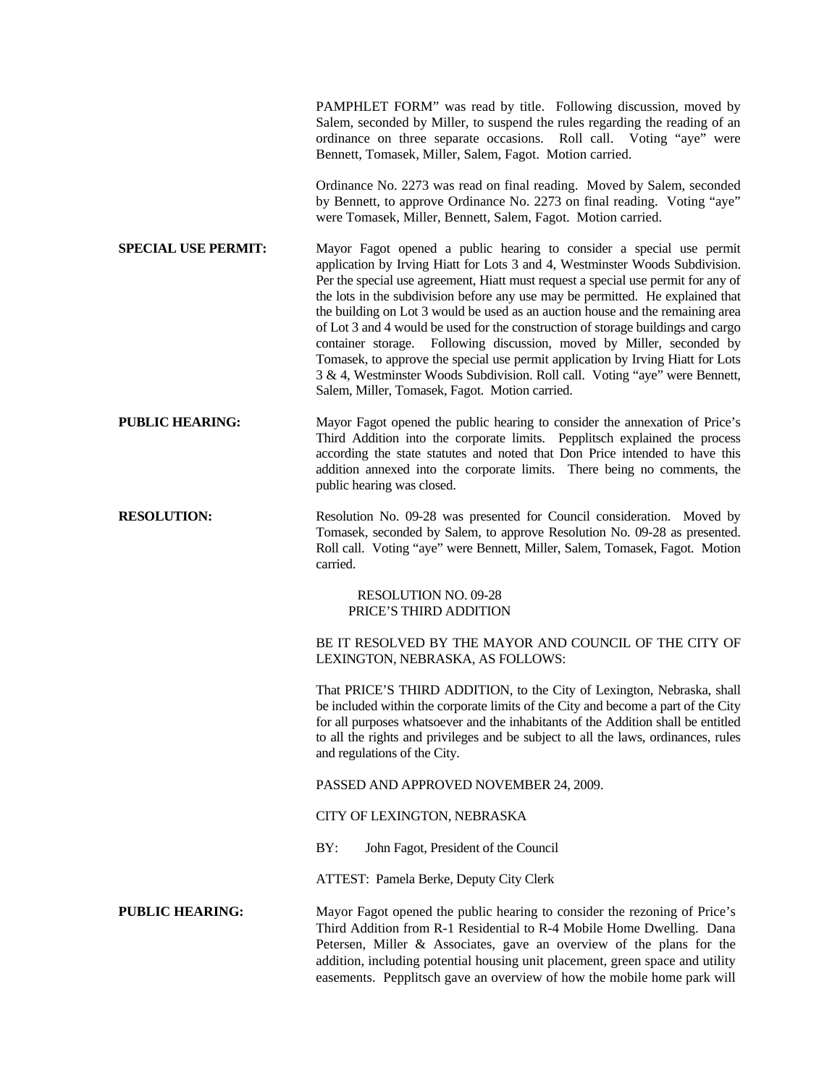|                            | PAMPHLET FORM" was read by title. Following discussion, moved by<br>Salem, seconded by Miller, to suspend the rules regarding the reading of an<br>ordinance on three separate occasions. Roll call. Voting "aye" were<br>Bennett, Tomasek, Miller, Salem, Fagot. Motion carried.                                                                                                                                                                                                                                                                                                                                                                                                                                                                                                              |
|----------------------------|------------------------------------------------------------------------------------------------------------------------------------------------------------------------------------------------------------------------------------------------------------------------------------------------------------------------------------------------------------------------------------------------------------------------------------------------------------------------------------------------------------------------------------------------------------------------------------------------------------------------------------------------------------------------------------------------------------------------------------------------------------------------------------------------|
|                            | Ordinance No. 2273 was read on final reading. Moved by Salem, seconded<br>by Bennett, to approve Ordinance No. 2273 on final reading. Voting "aye"<br>were Tomasek, Miller, Bennett, Salem, Fagot. Motion carried.                                                                                                                                                                                                                                                                                                                                                                                                                                                                                                                                                                             |
| <b>SPECIAL USE PERMIT:</b> | Mayor Fagot opened a public hearing to consider a special use permit<br>application by Irving Hiatt for Lots 3 and 4, Westminster Woods Subdivision.<br>Per the special use agreement, Hiatt must request a special use permit for any of<br>the lots in the subdivision before any use may be permitted. He explained that<br>the building on Lot 3 would be used as an auction house and the remaining area<br>of Lot 3 and 4 would be used for the construction of storage buildings and cargo<br>container storage. Following discussion, moved by Miller, seconded by<br>Tomasek, to approve the special use permit application by Irving Hiatt for Lots<br>3 & 4, Westminster Woods Subdivision. Roll call. Voting "aye" were Bennett,<br>Salem, Miller, Tomasek, Fagot. Motion carried. |
| <b>PUBLIC HEARING:</b>     | Mayor Fagot opened the public hearing to consider the annexation of Price's<br>Third Addition into the corporate limits. Pepplitsch explained the process<br>according the state statutes and noted that Don Price intended to have this<br>addition annexed into the corporate limits. There being no comments, the<br>public hearing was closed.                                                                                                                                                                                                                                                                                                                                                                                                                                             |
| <b>RESOLUTION:</b>         | Resolution No. 09-28 was presented for Council consideration. Moved by<br>Tomasek, seconded by Salem, to approve Resolution No. 09-28 as presented.<br>Roll call. Voting "aye" were Bennett, Miller, Salem, Tomasek, Fagot. Motion<br>carried.                                                                                                                                                                                                                                                                                                                                                                                                                                                                                                                                                 |
|                            | <b>RESOLUTION NO. 09-28</b><br>PRICE'S THIRD ADDITION                                                                                                                                                                                                                                                                                                                                                                                                                                                                                                                                                                                                                                                                                                                                          |
|                            | BE IT RESOLVED BY THE MAYOR AND COUNCIL OF THE CITY OF<br>LEXINGTON, NEBRASKA, AS FOLLOWS:                                                                                                                                                                                                                                                                                                                                                                                                                                                                                                                                                                                                                                                                                                     |
|                            | That PRICE'S THIRD ADDITION, to the City of Lexington, Nebraska, shall<br>be included within the corporate limits of the City and become a part of the City<br>for all purposes whatsoever and the inhabitants of the Addition shall be entitled<br>to all the rights and privileges and be subject to all the laws, ordinances, rules<br>and regulations of the City.                                                                                                                                                                                                                                                                                                                                                                                                                         |
|                            | PASSED AND APPROVED NOVEMBER 24, 2009.                                                                                                                                                                                                                                                                                                                                                                                                                                                                                                                                                                                                                                                                                                                                                         |
|                            | CITY OF LEXINGTON, NEBRASKA                                                                                                                                                                                                                                                                                                                                                                                                                                                                                                                                                                                                                                                                                                                                                                    |
|                            | BY:<br>John Fagot, President of the Council                                                                                                                                                                                                                                                                                                                                                                                                                                                                                                                                                                                                                                                                                                                                                    |
|                            | ATTEST: Pamela Berke, Deputy City Clerk                                                                                                                                                                                                                                                                                                                                                                                                                                                                                                                                                                                                                                                                                                                                                        |
| <b>PUBLIC HEARING:</b>     | Mayor Fagot opened the public hearing to consider the rezoning of Price's<br>Third Addition from R-1 Residential to R-4 Mobile Home Dwelling. Dana<br>Petersen, Miller & Associates, gave an overview of the plans for the<br>addition, including potential housing unit placement, green space and utility<br>easements. Pepplitsch gave an overview of how the mobile home park will                                                                                                                                                                                                                                                                                                                                                                                                         |